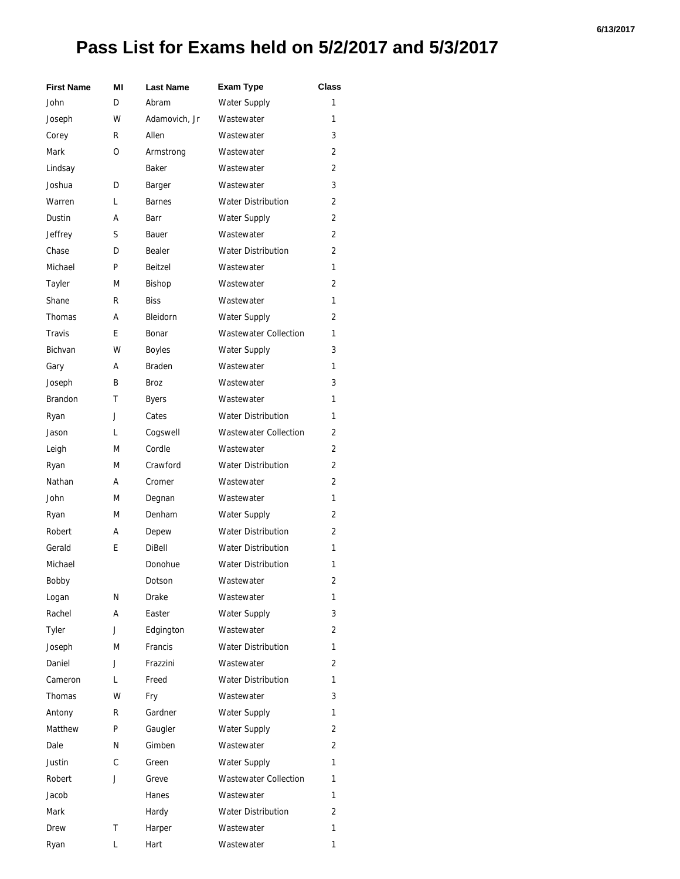## **Pass List for Exams held on 5/2/2017 and 5/3/2017**

| <b>First Name</b> | ΜI | <b>Last Name</b> | <b>Exam Type</b>             | Class |
|-------------------|----|------------------|------------------------------|-------|
| John              | D  | Abram            | Water Supply                 | 1     |
| Joseph            | w  | Adamovich, Jr    | Wastewater                   | 1     |
| Corey             | R  | Allen            | Wastewater                   | 3     |
| Mark              | O  | Armstrong        | Wastewater                   | 2     |
| Lindsay           |    | Baker            | Wastewater                   | 2     |
| Joshua            | D  | Barger           | Wastewater                   | 3     |
| Warren            | L  | <b>Barnes</b>    | <b>Water Distribution</b>    | 2     |
| Dustin            | А  | Barr             | Water Supply                 | 2     |
| Jeffrey           | S  | Bauer            | Wastewater                   | 2     |
| Chase             | D  | Bealer           | <b>Water Distribution</b>    | 2     |
| Michael           | P  | Beitzel          | Wastewater                   | 1     |
| Tayler            | М  | <b>Bishop</b>    | Wastewater                   | 2     |
| Shane             | R  | <b>Biss</b>      | Wastewater                   | 1     |
| <b>Thomas</b>     | А  | Bleidorn         | <b>Water Supply</b>          | 2     |
| <b>Travis</b>     | E  | Bonar            | <b>Wastewater Collection</b> | 1     |
| <b>Bichvan</b>    | W  | <b>Boyles</b>    | <b>Water Supply</b>          | 3     |
| Gary              | А  | <b>Braden</b>    | Wastewater                   | 1     |
| Joseph            | B  | Broz             | Wastewater                   | 3     |
| <b>Brandon</b>    | т  | <b>Byers</b>     | Wastewater                   | 1     |
| Ryan              | J  | Cates            | <b>Water Distribution</b>    | 1     |
| Jason             | L  | Cogswell         | <b>Wastewater Collection</b> | 2     |
| Leigh             | М  | Cordle           | Wastewater                   | 2     |
| Ryan              | М  | Crawford         | <b>Water Distribution</b>    | 2     |
| Nathan            | А  | Cromer           | Wastewater                   | 2     |
| John              | М  | Degnan           | Wastewater                   | 1     |
| Ryan              | М  | Denham           | Water Supply                 | 2     |
| Robert            | А  | Depew            | <b>Water Distribution</b>    | 2     |
| Gerald            | E  | <b>DiBell</b>    | <b>Water Distribution</b>    | 1     |
| Michael           |    | Donohue          | <b>Water Distribution</b>    | 1     |
| Bobby             |    | Dotson           | Wastewater                   | 2     |
| Logan             | Ν  | Drake            | Wastewater                   | 1     |
| Rachel            | А  | Easter           | Water Supply                 | 3     |
| Tyler             | J  | Edgington        | Wastewater                   | 2     |
| Joseph            | М  | Francis          | <b>Water Distribution</b>    | 1     |
| Daniel            | J  | Frazzini         | Wastewater                   | 2     |
| Cameron           | L  | Freed            | <b>Water Distribution</b>    | 1     |
| Thomas            | w  | Fry              | Wastewater                   | 3     |
| Antony            | R  | Gardner          | <b>Water Supply</b>          | 1     |
| Matthew           | P  | Gaugler          | <b>Water Supply</b>          | 2     |
| Dale              | N  | Gimben           | Wastewater                   | 2     |
| Justin            | C  | Green            | <b>Water Supply</b>          | 1     |
| Robert            | J  | Greve            | <b>Wastewater Collection</b> | 1     |
| Jacob             |    | Hanes            | Wastewater                   | 1     |
| Mark              |    | Hardy            | <b>Water Distribution</b>    | 2     |
| Drew              | Т  | Harper           | Wastewater                   | 1     |
| Ryan              | L  | Hart             | Wastewater                   | 1     |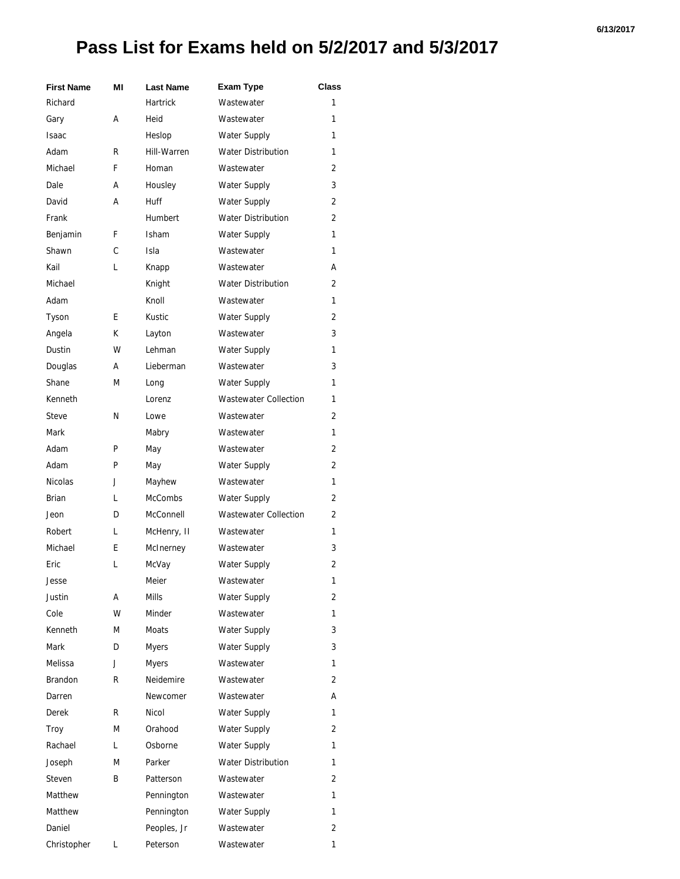## **Pass List for Exams held on 5/2/2017 and 5/3/2017**

| <b>First Name</b> | ΜI | <b>Last Name</b> | <b>Exam Type</b>             | <b>Class</b>   |
|-------------------|----|------------------|------------------------------|----------------|
| Richard           |    | <b>Hartrick</b>  | Wastewater                   | 1              |
| Gary              | А  | Heid             | Wastewater                   | 1              |
| <b>Isaac</b>      |    | Heslop           | Water Supply                 | 1              |
| Adam              | R  | Hill-Warren      | <b>Water Distribution</b>    | 1              |
| Michael           | F  | Homan            | Wastewater                   | 2              |
| Dale              | А  | Housley          | <b>Water Supply</b>          | 3              |
| David             | А  | <b>Huff</b>      | Water Supply                 | 2              |
| Frank             |    | Humbert          | <b>Water Distribution</b>    | $\overline{2}$ |
| Benjamin          | F  | <b>Isham</b>     | <b>Water Supply</b>          | 1              |
| Shawn             | C  | Isla             | Wastewater                   | 1              |
| Kail              | L  | Knapp            | Wastewater                   | А              |
| Michael           |    | Knight           | <b>Water Distribution</b>    | 2              |
| Adam              |    | Knoll            | Wastewater                   | 1              |
| Tyson             | E  | Kustic           | Water Supply                 | 2              |
| Angela            | K  | Layton           | Wastewater                   | 3              |
| Dustin            | W  | Lehman           | <b>Water Supply</b>          | 1              |
| Douglas           | А  | Lieberman        | Wastewater                   | 3              |
| Shane             | М  | Long             | Water Supply                 | 1              |
| Kenneth           |    | Lorenz           | <b>Wastewater Collection</b> | 1              |
| <b>Steve</b>      | N  | Lowe             | Wastewater                   | 2              |
| Mark              |    | Mabry            | Wastewater                   | 1              |
| Adam              | P  | May              | Wastewater                   | 2              |
| Adam              | P  | May              | Water Supply                 | 2              |
| <b>Nicolas</b>    | J  | Mayhew           | Wastewater                   | 1              |
| Brian             | L  | <b>McCombs</b>   | <b>Water Supply</b>          | 2              |
| Jeon              | D  | McConnell        | <b>Wastewater Collection</b> | 2              |
| Robert            | L  | McHenry, II      | Wastewater                   | 1              |
| Michael           | E  | McInerney        | Wastewater                   | 3              |
| Eric              | L  | McVay            | <b>Water Supply</b>          | 2              |
| Jesse             |    | Meier            | Wastewater                   | 1              |
| Justin            | А  | Mills            | <b>Water Supply</b>          | 2              |
| Cole              | W  | Minder           | Wastewater                   | 1              |
| Kenneth           | M  | Moats            | Water Supply                 | 3              |
| Mark              | D  | <b>Myers</b>     | <b>Water Supply</b>          | 3              |
| Melissa           | J  | Myers            | Wastewater                   | 1              |
| Brandon           | R  | Neidemire        | Wastewater                   | 2              |
| Darren            |    | Newcomer         | Wastewater                   | А              |
| <b>Derek</b>      | R  | Nicol            | Water Supply                 | 1              |
| Troy              | М  | Orahood          | <b>Water Supply</b>          | 2              |
| Rachael           | L  | Osborne          | Water Supply                 | 1              |
| Joseph            | М  | Parker           | <b>Water Distribution</b>    | 1              |
| Steven            | B  | Patterson        | Wastewater                   | 2              |
| Matthew           |    | Pennington       | Wastewater                   | 1              |
| Matthew           |    | Pennington       | Water Supply                 | 1              |
| Daniel            |    | Peoples, Jr      | Wastewater                   | 2              |
| Christopher       | L  | Peterson         | Wastewater                   | 1              |